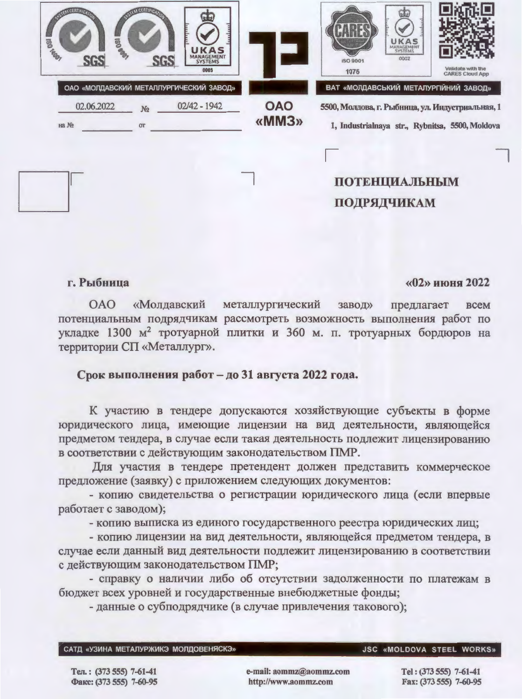| <b>POSTAGE</b><br><b>MONTE</b><br><b>SG</b> |                            | <b>UKAS</b><br>MANAGEMENT<br><b>SGS</b><br>0005           |                     | UKAS<br>MANAGEMENT<br>0002<br>ISO 9001<br>1076                                                                                               | Validate with the<br><b>CARES Cloud App</b> |
|---------------------------------------------|----------------------------|-----------------------------------------------------------|---------------------|----------------------------------------------------------------------------------------------------------------------------------------------|---------------------------------------------|
| 02.06.2022<br>Ha No                         | N <sub>2</sub><br>$\sigma$ | ОАО «МОЛДАВСКИЙ МЕТАЛЛУРГИЧЕСКИЙ ЗАВОД»<br>$02/42 - 1942$ | <b>OAO</b><br>«MM3» | ВАТ «МОЛДАВСЬКИЙ МЕТАЛУРГІЙНИЙ ЗАВОД»<br>5500, Молдова, г. Рыбница, ул. Индустриальная, 1<br>1, Industrialnaya str., Rybnitsa, 5500, Moldova |                                             |
|                                             |                            |                                                           |                     | <b>ПОТЕНЦИАЛЬНЫМ</b><br>ПОДРЯДЧИКАМ                                                                                                          |                                             |

## г. Рыбница

## «02» июня 2022

«Молдавский **OAO** металлургический завод» предлагает **BCCM** потенциальным подрядчикам рассмотреть возможность выполнения работ по укладке 1300 м<sup>2</sup> тротуарной плитки и 360 м. п. тротуарных бордюров на территории СП «Металлург».

## Срок выполнения работ - до 31 августа 2022 года.

К участию в тендере допускаются хозяйствующие субъекты в форме юридического лица, имеющие лицензии на вид деятельности, являющейся предметом тендера, в случае если такая деятельность подлежит лицензированию в соответствии с действующим законодательством ПМР.

Для участия в тендере претендент должен представить коммерческое предложение (заявку) с приложением следующих документов:

- копию свидетельства о регистрации юридического лица (если впервые работает с заводом);

- копию выписка из единого государственного реестра юридических лиц;

- копию лицензии на вид деятельности, являющейся предметом тендера, в случае если данный вид деятельности подлежит лицензированию в соответствии с действующим законодательством ПМР;

- справку о наличии либо об отсутствии задолженности по платежам в бюджет всех уровней и государственные внебюджетные фонды;

- данные о субподрядчике (в случае привлечения такового);

САТД «УЗИНА МЕТАЛУРЖИКЭ МОЛДОВЕНЯСКЭ»

## JSC «MOLDOVA STEEL WORKS»

Тел.: (373 555) 7-61-41 Факс: (373 555) 7-60-95 e-mail: aommz@aommz.com http://www.aommz.com

Tel: (373 555) 7-61-41 Fax: (373 555) 7-60-95